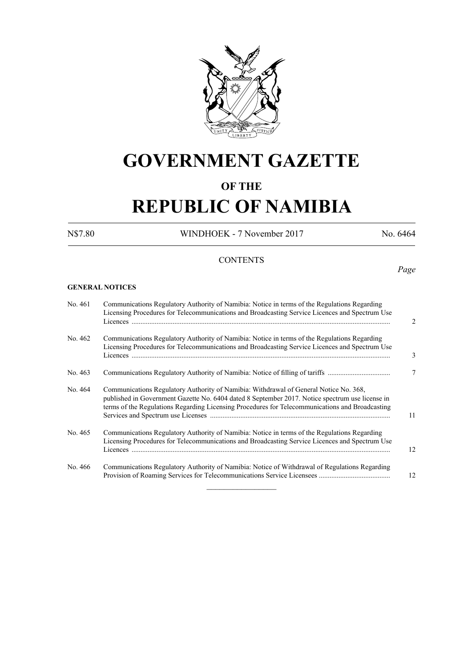

## **GOVERNMENT GAZETTE**

### **OF THE**

## **REPUBLIC OF NAMIBIA**

N\$7.80 WINDHOEK - 7 November 2017 No. 6464

*Page*

#### **CONTENTS**

#### **GENERAL NOTICES**

| No. 461 | Communications Regulatory Authority of Namibia: Notice in terms of the Regulations Regarding<br>Licensing Procedures for Telecommunications and Broadcasting Service Licences and Spectrum Use                                                                                              | $\mathfrak{D}$ |
|---------|---------------------------------------------------------------------------------------------------------------------------------------------------------------------------------------------------------------------------------------------------------------------------------------------|----------------|
| No. 462 | Communications Regulatory Authority of Namibia: Notice in terms of the Regulations Regarding<br>Licensing Procedures for Telecommunications and Broadcasting Service Licences and Spectrum Use                                                                                              | 3              |
| No. 463 | Communications Regulatory Authority of Namibia: Notice of filling of tariffs                                                                                                                                                                                                                | 7              |
| No. 464 | Communications Regulatory Authority of Namibia: Withdrawal of General Notice No. 368,<br>published in Government Gazette No. 6404 dated 8 September 2017. Notice spectrum use license in<br>terms of the Regulations Regarding Licensing Procedures for Telecommunications and Broadcasting | 11             |
| No. 465 | Communications Regulatory Authority of Namibia: Notice in terms of the Regulations Regarding<br>Licensing Procedures for Telecommunications and Broadcasting Service Licences and Spectrum Use                                                                                              | 12             |
| No. 466 | Communications Regulatory Authority of Namibia: Notice of Withdrawal of Regulations Regarding                                                                                                                                                                                               | 12             |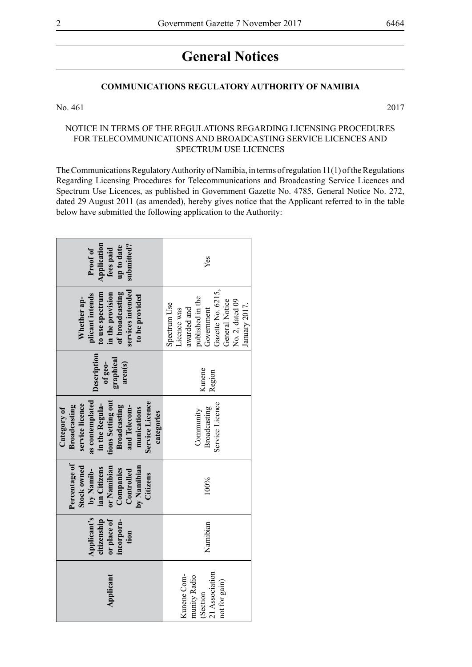### **General Notices**

#### **COMMUNICATIONS REGULATORY AUTHORITY OF NAMIBIA**

No. 461 2017

#### NOTICE IN TERMS OF THE REGULATIONS REGARDING LICENSING PROCEDURES FOR TELECOMMUNICATIONS AND BROADCASTING SERVICE LICENCES AND SPECTRUM USE LICENCES

The Communications Regulatory Authority of Namibia, in terms of regulation 11(1) of the Regulations Regarding Licensing Procedures for Telecommunications and Broadcasting Service Licences and Spectrum Use Licences, as published in Government Gazette No. 4785, General Notice No. 272, dated 29 August 2011 (as amended), hereby gives notice that the Applicant referred to in the table below have submitted the following application to the Authority:

| Application<br>submitted?<br>up to date<br>Proof of<br>fees paid                                                                                                                         | Yes                                                                                                                                                     |  |  |
|------------------------------------------------------------------------------------------------------------------------------------------------------------------------------------------|---------------------------------------------------------------------------------------------------------------------------------------------------------|--|--|
| services intended<br>of broadcasting<br>to use spectrum<br>in the provision<br>plicant intends<br>to be provided<br>Whether ap-                                                          | Gazette No. 6215,<br>published in the<br>General Notice<br>No. 2, dated 09<br>Spectrum Use<br>January 2017.<br>awarded and<br>Government<br>Licence was |  |  |
| Description<br>graphical<br>area(s)<br>of geo-                                                                                                                                           | Kunene<br>Region                                                                                                                                        |  |  |
| tions Setting out<br>as contemplated<br>Service Licence<br>service licence<br>in the Regula-<br>Broadcasting<br>Broadcasting<br>and Telecom-<br>Category of<br>munications<br>categories | Service Licence<br>Broadcasting<br>Community                                                                                                            |  |  |
| Percentage of<br>Stock owned<br>or Namibian<br>by Namibian<br>ian Citizens<br>Companies<br>by Namib-<br>Controlled<br>Citizens                                                           | 100%                                                                                                                                                    |  |  |
| Applicant's<br>or place of<br>citizenship<br>incorpora-<br>tion                                                                                                                          | Namibian                                                                                                                                                |  |  |
| Applicant                                                                                                                                                                                | 21 Association<br>Kunene Com-<br>munity Radio<br>not for gain)<br>(Section                                                                              |  |  |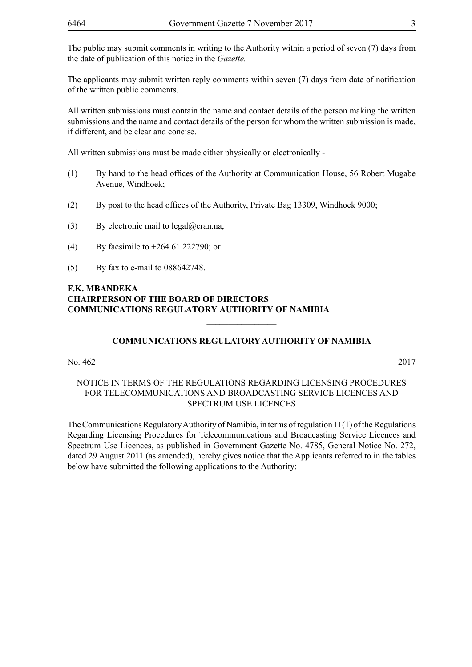The applicants may submit written reply comments within seven (7) days from date of notification of the written public comments.

All written submissions must contain the name and contact details of the person making the written submissions and the name and contact details of the person for whom the written submission is made, if different, and be clear and concise.

All written submissions must be made either physically or electronically -

- (1) By hand to the head offices of the Authority at Communication House, 56 Robert Mugabe Avenue, Windhoek;
- (2) By post to the head offices of the Authority, Private Bag 13309, Windhoek 9000;
- (3) By electronic mail to  $\text{legal}(\partial \text{cran}.\text{na})$ ;
- (4) By facsimile to +264 61 222790; or
- (5) By fax to e-mail to 088642748.

#### **F.K. MBANDEKA CHAIRPERSON OF THE BOARD OF DIRECTORS COMMUNICATIONS REGULATORY AUTHORITY OF NAMIBIA**

#### **COMMUNICATIONS REGULATORY AUTHORITY OF NAMIBIA**

 $\overline{\phantom{a}}$  , where  $\overline{\phantom{a}}$ 

No. 462 2017

#### NOTICE IN TERMS OF THE REGULATIONS REGARDING LICENSING PROCEDURES FOR TELECOMMUNICATIONS AND BROADCASTING SERVICE LICENCES AND SPECTRUM USE LICENCES

The Communications Regulatory Authority of Namibia, in terms of regulation 11(1) of the Regulations Regarding Licensing Procedures for Telecommunications and Broadcasting Service Licences and Spectrum Use Licences, as published in Government Gazette No. 4785, General Notice No. 272, dated 29 August 2011 (as amended), hereby gives notice that the Applicants referred to in the tables below have submitted the following applications to the Authority: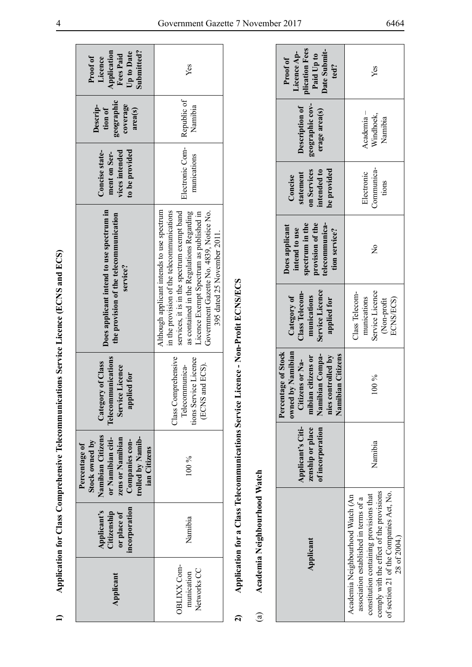| くりょくし |                     |
|-------|---------------------|
|       |                     |
|       |                     |
|       |                     |
|       |                     |
|       |                     |
|       |                     |
| l     |                     |
|       |                     |
|       |                     |
|       |                     |
|       |                     |
|       |                     |
|       |                     |
|       |                     |
|       |                     |
|       |                     |
|       |                     |
|       |                     |
|       |                     |
|       |                     |
|       |                     |
|       |                     |
|       |                     |
|       |                     |
| ĺ     |                     |
|       |                     |
|       |                     |
|       |                     |
|       |                     |
|       |                     |
|       |                     |
|       |                     |
|       |                     |
|       |                     |
| Ì     |                     |
|       |                     |
|       |                     |
|       |                     |
| ί     |                     |
|       |                     |
|       |                     |
|       |                     |
|       |                     |
|       |                     |
|       |                     |
| j     |                     |
|       | י                   |
|       | ׇ֘֒<br>֖֚֚֚֬<br>֚֓֡ |
|       | l                   |
|       |                     |
|       |                     |

|                                          |                                                            | Percentage of                                                                                                                       |                                                                                   |                                                                                                                                                                                                                                                                                                           |                                                                    |                                                          |                                                                             |
|------------------------------------------|------------------------------------------------------------|-------------------------------------------------------------------------------------------------------------------------------------|-----------------------------------------------------------------------------------|-----------------------------------------------------------------------------------------------------------------------------------------------------------------------------------------------------------------------------------------------------------------------------------------------------------|--------------------------------------------------------------------|----------------------------------------------------------|-----------------------------------------------------------------------------|
| Applicant                                | incorporation<br>Applicant's<br>Citizenship<br>or place of | Namibian Citizens<br>trolled by Namib-<br>zens or Namibian<br>or Namibian citi-<br>Stock owned by<br>Companies con-<br>ian Citizens | mications<br>Category of Class<br>Service Licence<br>applied for<br>Telecommu     | Does applicant intend to use spectrum in<br>the provision of the telecommunication<br>service?                                                                                                                                                                                                            | to be provided<br>Concise state-<br>vices intended<br>ment on Ser- | geographic<br>coverage<br>Descrip-<br>tion of<br>area(s) | Application<br>Submitted?<br>Up to Date<br>Fees Paid<br>Proof of<br>Licence |
| OBLIXX Com-<br>Networks CC<br>munication | Namibia                                                    | $100\%$                                                                                                                             | Class Comprehensive<br>tions Service Licence<br>(ECNS and ECS).<br>Telecommunica- | Although applicant intends to use spectrum<br>in the provision of the telecommunications<br>services, it is in the spectrum exempt band<br>as contained in the Regulations Regarding<br>Government Gazette No. 4839, Notice No.<br>Licence Exempt Spectrum as published in<br>395 dated 25 November 2011. | Electronic Com-<br>munications                                     | Republic of<br>Namibia                                   | Yes                                                                         |

| てん しょうじょく            |  |
|----------------------|--|
| l                    |  |
| I                    |  |
|                      |  |
| ļ                    |  |
|                      |  |
|                      |  |
| ļ                    |  |
|                      |  |
| ;<br>î<br>֚֓<br>ׇ֚֘֡ |  |
| ؟<br>؟<br>q<br>֕     |  |
| ۶<br>í<br>֚֚<br>֚    |  |

## Academia Neighbourhood Watch (a) **Academia Neighbourhood Watch**  $\binom{a}{b}$

| plication Fees<br>Date Submit-<br>Licence Ap-<br>Paid Up to<br>Proof of<br>ted?                                                                                                                                          | Yes                                                                          |  |
|--------------------------------------------------------------------------------------------------------------------------------------------------------------------------------------------------------------------------|------------------------------------------------------------------------------|--|
| geographic cov-<br>Description of<br>erage area(s)                                                                                                                                                                       | Academia –<br>Windhoek,<br>Namibia                                           |  |
| on Services<br>be provided<br>intended to<br>statement<br>Concise                                                                                                                                                        | Communica-<br>Electronic<br>tions                                            |  |
| telecommunica-<br>spectrum in the<br>provision of the<br>Does applicant<br>intend to use<br>tion service?                                                                                                                | $\frac{1}{2}$                                                                |  |
| Service Licence<br>Class Telecom-<br>Category of<br>munications<br>applied for                                                                                                                                           | Service Licence<br>Class Telecom-<br>ECNS/ECS)<br>munications<br>(Non-profit |  |
| Percentage of Stock<br>owned by Namibian<br>Namibian Compa-<br>mibian citizens or<br>Namibian Citizens<br>nies controlled by<br>Citizens or Na-                                                                          | $100\%$<br>Namibia                                                           |  |
| Applicant's Citi-<br>zenship or place<br>of incorporation                                                                                                                                                                |                                                                              |  |
| comply with the effect of the provisions<br>of section 21 of the Companies Act, No.<br>constitution containing provisions that<br>Academia Neighbourhood Watch (An<br>association established in terms of a<br>Applicant |                                                                              |  |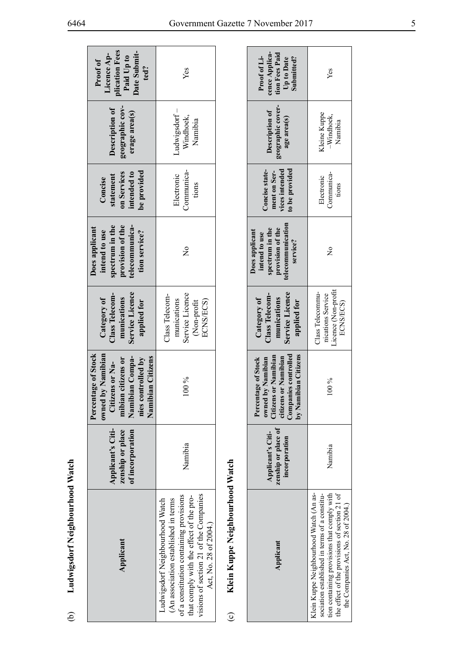| plication Fees<br>Date Submit-<br>Paid Up to<br>Licence Ap-<br>Proof of<br>ted?                                                                      | Yes                                                                                                                                                                                                                             |  |  |
|------------------------------------------------------------------------------------------------------------------------------------------------------|---------------------------------------------------------------------------------------------------------------------------------------------------------------------------------------------------------------------------------|--|--|
| geographic cov-<br>Description of<br>erage area(s)                                                                                                   | Ludwigsdorf-<br>Windhoek,<br>Namibia                                                                                                                                                                                            |  |  |
| be provided<br>on Services<br>intended to<br>statement<br>Concise                                                                                    | Communica-<br>Electronic<br>tions                                                                                                                                                                                               |  |  |
| spectrum in the<br>telecommunica-<br>provision of the<br>Does applicant<br>intend to use<br>tion service?                                            | $\frac{1}{2}$                                                                                                                                                                                                                   |  |  |
| Service Licence<br>Class Telecom-<br>Category of<br>munications<br>applied for                                                                       | Service Licence<br>Class Telecom-<br>munications<br>ECNS/ECS)<br>(Non-profit                                                                                                                                                    |  |  |
| Percentage of Stock<br>I by Namibian<br>Namibian Compa-<br>Namibian Citizens<br>nies controlled by<br>mibian citizens or<br>Citizens or Na-<br>owned | $100\%$                                                                                                                                                                                                                         |  |  |
| Applicant's Citi-<br>zenship or place<br>of incorporation                                                                                            | Namibia                                                                                                                                                                                                                         |  |  |
| Applicant                                                                                                                                            | visions of section 21 of the Companies<br>of a constitution containing provisions<br>hat comply with the effect of the pro-<br>Ludwigsdorf Neighbourhood Watch<br>(An association established in terms<br>Act, No. 28 of 2004.) |  |  |

# Klein Kuppe Neighbourhood Watch (c) **Klein Kuppe Neighbourhood Watch**  $\odot$

| cence Applica-<br>tion Fees Paid<br>Proof of Li-<br>Submitted?<br>Up to Date                                                                       | Yes                                                                                                                                                                                                                            |  |
|----------------------------------------------------------------------------------------------------------------------------------------------------|--------------------------------------------------------------------------------------------------------------------------------------------------------------------------------------------------------------------------------|--|
| geographic cover-<br>Description of<br>age area(s)                                                                                                 | <b>Teine Kuppe</b><br>$-\mathbf{Window}$ k,<br>Namibia                                                                                                                                                                         |  |
| rices intended<br>to be provided<br>Concise state-<br>ment on Ser-                                                                                 | Communica-<br>Electronic<br>tions                                                                                                                                                                                              |  |
| telecommunication<br>spectrum in the<br>provision of the<br>Does applicant<br>intend to use<br>service?                                            | $\frac{1}{2}$                                                                                                                                                                                                                  |  |
| Service Licence<br>Class Telecom-<br>munications<br>Category of<br>applied for                                                                     | icence (Non-profit<br>Class Telecommu-<br>nications Service<br>ECNS/ECS)                                                                                                                                                       |  |
| Companies controlled<br>by Namibian Citizens<br><b>Titizens or Namibian</b><br>or Namibian<br>Percentage of Stock<br>owned by Namibian<br>citizens | $100\%$                                                                                                                                                                                                                        |  |
| zenship or place of<br>Applicant's Citi-<br>incorporation                                                                                          | Namibia                                                                                                                                                                                                                        |  |
| Applicant                                                                                                                                          | Jein Kuppe Neighbourhood Watch (An as-<br>tion containing provisions that comply with<br>the effect of the provisions of section 21 of<br>sociation established in terms of a constitu-<br>the Companies Act, No. 28 of 2004.) |  |

(b) **Ludwigsdorf Neighbourhood Watch**

 $\Theta$ 

Ludwigsdorf Neighbourhood Watch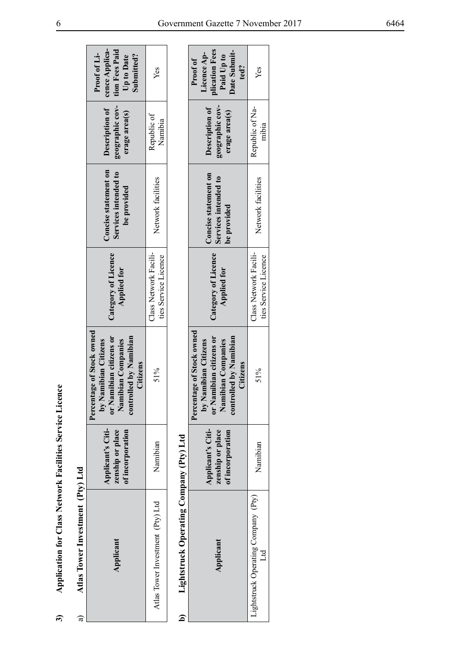| l<br>j             |  |
|--------------------|--|
| $\frac{1}{2}$<br>≀ |  |
| $\overline{1}$     |  |
| l                  |  |
| Ì<br>ج<br> <br>    |  |
| ţ<br>j             |  |
| ı                  |  |

| j                      |
|------------------------|
|                        |
|                        |
|                        |
| Ptvi                   |
|                        |
|                        |
|                        |
|                        |
|                        |
|                        |
|                        |
| Atlas Tower Investment |
|                        |
|                        |
|                        |
|                        |
|                        |
|                        |
|                        |
|                        |
|                        |
|                        |
|                        |
|                        |
|                        |
|                        |
|                        |
|                        |
|                        |
|                        |
|                        |
|                        |
|                        |
|                        |
|                        |
|                        |
|                        |
|                        |
|                        |
|                        |
|                        |
|                        |
|                        |
|                        |
|                        |
|                        |
|                        |
|                        |
|                        |
|                        |
|                        |
|                        |
|                        |
|                        |
|                        |
|                        |
|                        |
|                        |
|                        |
|                        |
|                        |
|                        |

|                                                                                                          | cence Applica-<br>tion Fees Paid<br>Proof of Li-<br>Submitted?<br>Up to Date                                                             | Yes                                           |                                                                 | plication Fees<br>Date Submit-<br>Licence Ap-<br>Paid Up to<br>Proof of<br>ted?                                                          | Yes                                           |
|----------------------------------------------------------------------------------------------------------|------------------------------------------------------------------------------------------------------------------------------------------|-----------------------------------------------|-----------------------------------------------------------------|------------------------------------------------------------------------------------------------------------------------------------------|-----------------------------------------------|
|                                                                                                          | geographic cov-<br>Description of<br>erage area(s)                                                                                       | Republic of<br>Namibia                        |                                                                 | geographic cov-<br>Description of<br>erage area(s)                                                                                       | Republic of Na-<br>mibia                      |
|                                                                                                          | Concise statement on<br>Services intended to<br>be provided                                                                              | Network facilities                            |                                                                 | Concise statement on<br>Services intended to<br>be provided                                                                              | Network facilities                            |
|                                                                                                          | Category of Licence<br><b>Applied for</b>                                                                                                | Class Network Facili-<br>ties Service Licence |                                                                 | Category of Licence<br><b>Applied for</b>                                                                                                | Class Network Facili-<br>ties Service Licence |
|                                                                                                          | Percentage of Stock owned<br>controlled by Namibian<br>or Namibian citizens or<br>Namibian Companies<br>by Namibian Citizens<br>Citizens | 51%                                           |                                                                 | Percentage of Stock owned<br>controlled by Namibian<br>or Namibian citizens or<br>Namibian Companies<br>by Namibian Citizens<br>Citizens | 51%                                           |
|                                                                                                          | Applicant's Citi-<br>zenship or place<br>of incorporation                                                                                | Namibian                                      |                                                                 | Applicant's Citi-<br>zenship or place<br>of incorporation                                                                                | Namibian                                      |
| <b>Application for Class Network Facilities Service Licence</b><br>Atlas Tower Investment (Pty) Ltd<br>ಡ | Applicant                                                                                                                                | Atlas Tower Investment (Pty) Ltd              | Lightstruck Operating Company (Pty) Ltd<br>$\overline{\bullet}$ | Applicant                                                                                                                                | Lightstruck Operating Company (Pty)<br>Ltd    |

|                                                               | <b>Mication Fees</b><br>Date Submit-<br>Licence Ap-<br>Paid Up to<br>Proof of<br>ted?                                                                                          | Yes                                           |
|---------------------------------------------------------------|--------------------------------------------------------------------------------------------------------------------------------------------------------------------------------|-----------------------------------------------|
|                                                               | geographic cov-<br>Description of<br>erage area(s)                                                                                                                             | Republic of Na-<br>mibia                      |
|                                                               | Concise statement on<br>Services intended to<br>be provided                                                                                                                    | Network facilities                            |
|                                                               | Category of Licence<br><b>Applied for</b>                                                                                                                                      | Class Network Facili-<br>ties Service Licence |
|                                                               | Percentage of Stock owned<br>Namibian citizens or<br>trolled by Namibian<br>by Namibian Citizens<br>Namibian Companies<br>Citizens<br>$\overline{\mathbf{b}}$<br>$\bar{\rm s}$ | 51%                                           |
|                                                               | Applicant's Citi-<br>zenship or place<br>of incorporation                                                                                                                      | Namibian                                      |
| Lightstruck Operating Company (Pty) Ltd<br>$\tilde{\epsilon}$ | Applicant                                                                                                                                                                      | Lightstruck Operating Company (Pty)<br>Int    |

÷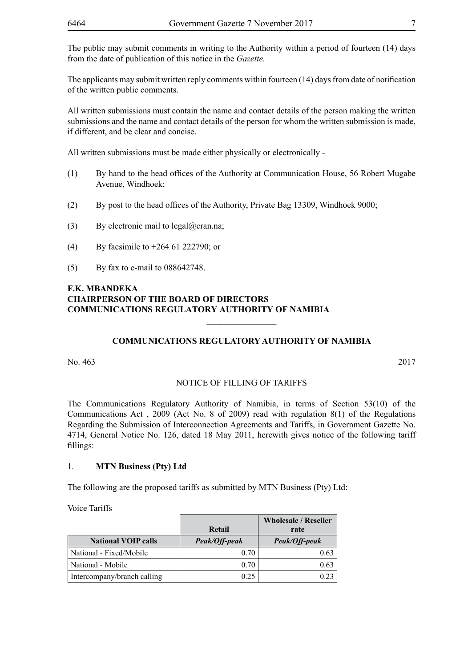The public may submit comments in writing to the Authority within a period of fourteen (14) days from the date of publication of this notice in the *Gazette.* 

The applicants may submit written reply comments within fourteen (14) days from date of notification of the written public comments.

All written submissions must contain the name and contact details of the person making the written submissions and the name and contact details of the person for whom the written submission is made, if different, and be clear and concise.

All written submissions must be made either physically or electronically -

- (1) By hand to the head offices of the Authority at Communication House, 56 Robert Mugabe Avenue, Windhoek;
- (2) By post to the head offices of the Authority, Private Bag 13309, Windhoek 9000;
- (3) By electronic mail to  $\text{legal}(\partial \text{cran}.\text{na})$ ;
- (4) By facsimile to +264 61 222790; or
- (5) By fax to e-mail to 088642748.

#### **F.K. MBANDEKA CHAIRPERSON OF THE BOARD OF DIRECTORS COMMUNICATIONS REGULATORY AUTHORITY OF NAMIBIA**

#### **COMMUNICATIONS REGULATORY AUTHORITY OF NAMIBIA**

 $\overline{\phantom{a}}$  , where  $\overline{\phantom{a}}$ 

No. 463 2017

#### NOTICE OF FILLING OF TARIFFS

The Communications Regulatory Authority of Namibia, in terms of Section 53(10) of the Communications Act , 2009 (Act No. 8 of 2009) read with regulation 8(1) of the Regulations Regarding the Submission of Interconnection Agreements and Tariffs, in Government Gazette No. 4714, General Notice No. 126, dated 18 May 2011, herewith gives notice of the following tariff fillings:

#### 1. **MTN Business (Pty) Ltd**

The following are the proposed tariffs as submitted by MTN Business (Pty) Ltd:

Voice Tariffs

|                             |               | <b>Wholesale / Reseller</b> |
|-----------------------------|---------------|-----------------------------|
|                             | Retail        | rate                        |
| <b>National VOIP calls</b>  | Peak/Off-peak | Peak/Off-peak               |
| National - Fixed/Mobile     | 0.70          | 0.63                        |
| National - Mobile           | 0.70          | 0.63                        |
| Intercompany/branch calling | 0.25          |                             |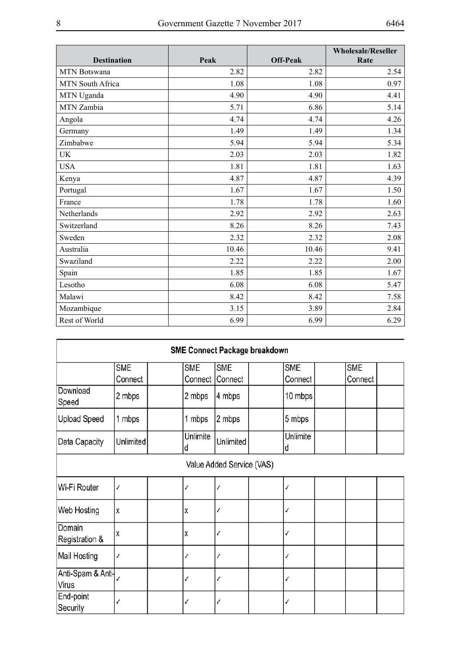| <b>Destination</b>  | Peak  | <b>Off-Peak</b> | <b>Wholesale/Reseller</b><br>Rate |
|---------------------|-------|-----------------|-----------------------------------|
| <b>MTN Botswana</b> | 2.82  | 2.82            | 2.54                              |
| MTN South Africa    | 1.08  | 1.08            | 0.97                              |
| MTN Uganda          | 4.90  | 4.90            | 4.41                              |
| MTN Zambia          | 5.71  | 6.86            | 5.14                              |
| Angola              | 4.74  | 4.74            | 4.26                              |
| Germany             | 1.49  | 1.49            | 1.34                              |
| Zimbabwe            | 5.94  | 5.94            | 5.34                              |
| <b>UK</b>           | 2.03  | 2.03            | 1.82                              |
| <b>USA</b>          | 1.81  | 1.81            | 1.63                              |
| Kenya               | 4.87  | 4.87            | 4.39                              |
| Portugal            | 1.67  | 1.67            | 1.50                              |
| France              | 1.78  | 1.78            | 1.60                              |
| Netherlands         | 2.92  | 2.92            | 2.63                              |
| Switzerland         | 8.26  | 8.26            | 7.43                              |
| Sweden              | 2.32  | 2.32            | 2.08                              |
| Australia           | 10.46 | 10.46           | 9.41                              |
| Swaziland           | 2.22  | 2.22            | 2.00                              |
| Spain               | 1.85  | 1.85            | 1.67                              |
| Lesotho             | 6.08  | 6.08            | 5.47                              |
| Malawi              | 8.42  | 8.42            | 7.58                              |
| Mozambique          | 3.15  | 3.89            | 2.84                              |
| Rest of World       | 6.99  | 6.99            | 6.29                              |

| <b>SME Connect Package breakdown</b> |                       |                       |                       |  |                       |  |                       |  |
|--------------------------------------|-----------------------|-----------------------|-----------------------|--|-----------------------|--|-----------------------|--|
|                                      | <b>SME</b><br>Connect | <b>SME</b><br>Connect | <b>SME</b><br>Connect |  | <b>SME</b><br>Connect |  | <b>SME</b><br>Connect |  |
| Download<br>Speed                    | 2 mbps                | 2 mbps                | 4 mbps                |  | 10 mbps               |  |                       |  |
| <b>Upload Speed</b>                  | 1 mbps                | 1 mbps                | 2 mbps                |  | 5 mbps                |  |                       |  |
| Data Capacity                        | Unlimited             | Unlimite<br>đ         | Unlimited             |  | Unlimite<br>d         |  |                       |  |
| Value Added Service (VAS)            |                       |                       |                       |  |                       |  |                       |  |
| Wi-Fi Router                         | ✓                     | J                     | ✓                     |  | ✓                     |  |                       |  |
| Web Hosting                          | X                     | χ                     | √                     |  | ✓                     |  |                       |  |
| Domain<br>Registration &             | X                     | χ                     | √                     |  | ✓                     |  |                       |  |
| Mail Hosting                         | ✓                     | J                     |                       |  | ✓                     |  |                       |  |
| Anti-Spam & Anti-<br>Virus           |                       |                       |                       |  | √                     |  |                       |  |
| End-point<br>Security                |                       |                       | √                     |  | ✓                     |  |                       |  |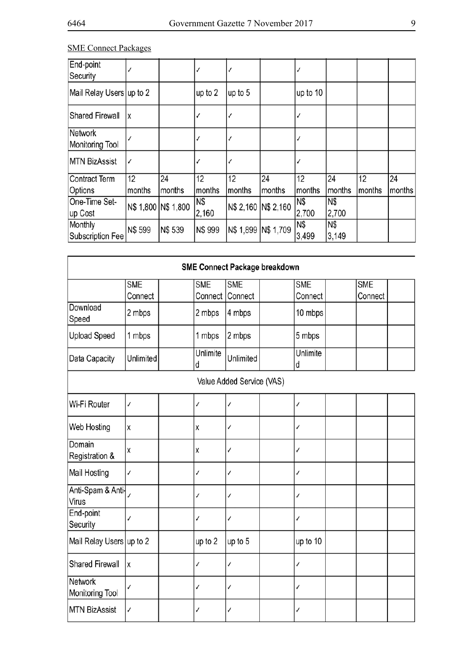#### SME Connect Packages

| End-point<br>Security      |         |                     |         |                     |        |          |        |        |        |
|----------------------------|---------|---------------------|---------|---------------------|--------|----------|--------|--------|--------|
| Mail Relay Users up to 2   |         |                     | up to 2 | up to 5             |        | up to 10 |        |        |        |
| <b>Shared Firewall</b>     |         |                     |         |                     |        |          |        |        |        |
| Network<br>Monitoring Tool |         |                     |         |                     |        |          |        |        |        |
| <b>MTN BizAssist</b>       |         |                     |         |                     |        |          |        |        |        |
| Contract Term              | 12      | 24                  | 12      | 12                  | 24     | 12       | 24     | 12     | 24     |
| Options                    | months  | months              | months  | months              | months | months   | months | months | months |
| One-Time Set-              |         |                     | N\$     | N\$ 2,160 N\$ 2,160 |        | N\$      | N\$    |        |        |
| up Cost                    |         | N\$ 1,800 N\$ 1,800 | 2,160   |                     |        | 2,700    | 2,700  |        |        |
| Monthly                    | N\$ 599 | <b>N\$ 539</b>      | N\$ 999 | N\$ 1,899 N\$ 1,709 |        | N\$      | N\$    |        |        |
| Subscription Fee           |         |                     |         |                     |        | 3,499    | 3,149  |        |        |

| <b>SME Connect Package breakdown</b> |                       |                       |                           |  |                       |  |                       |  |
|--------------------------------------|-----------------------|-----------------------|---------------------------|--|-----------------------|--|-----------------------|--|
|                                      | <b>SME</b><br>Connect | <b>SME</b><br>Connect | <b>SME</b><br>Connect     |  | <b>SME</b><br>Connect |  | <b>SME</b><br>Connect |  |
| Download<br>Speed                    | 2 mbps                | 2 mbps                | 4 mbps                    |  | 10 mbps               |  |                       |  |
| <b>Upload Speed</b>                  | 1 mbps                | 1 mbps                | 2 mbps                    |  | 5 mbps                |  |                       |  |
| Data Capacity                        | Unlimited             | <b>Unlimite</b><br>d  | Unlimited                 |  | <b>Unlimite</b><br>d  |  |                       |  |
|                                      |                       |                       | Value Added Service (VAS) |  |                       |  |                       |  |
| Wi-Fi Router                         | √                     | J                     | ✓                         |  | √                     |  |                       |  |
| Web Hosting                          | X                     | χ                     | √                         |  | ✓                     |  |                       |  |
| Domain<br>Registration &             | X                     | X                     | √                         |  | √                     |  |                       |  |
| Mail Hosting                         | ✓                     | J                     | √                         |  | √                     |  |                       |  |
| Anti-Spam & Anti-<br>Virus           |                       | J                     | ✓                         |  | ✓                     |  |                       |  |
| End-point<br>Security                | ✓                     | J                     | √                         |  | ✓                     |  |                       |  |
| Mail Relay Users up to 2             |                       | up to 2               | up to 5                   |  | up to 10              |  |                       |  |
| Shared Firewall                      | X                     | J                     | √                         |  | ✓                     |  |                       |  |
| <b>Network</b><br>Monitoring Tool    | ✓                     | J                     | √                         |  | √                     |  |                       |  |
| <b>MTN BizAssist</b>                 | ✓                     | ✓                     | √                         |  | ✓                     |  |                       |  |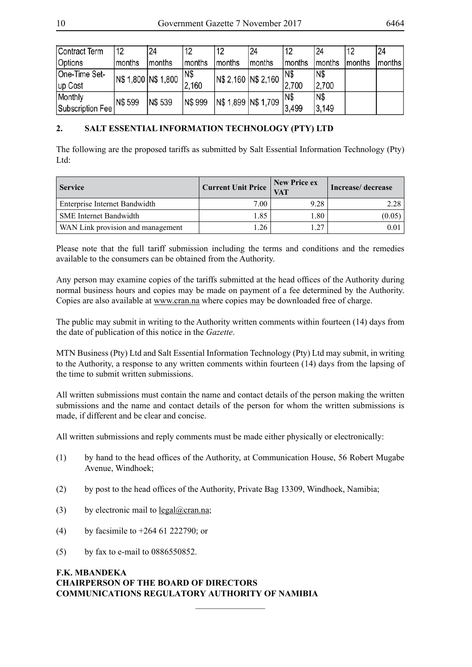| Contract Term    | 12      | 24                  | 12      | 12     | 24                  | 12     | 24     | 12     | 24            |
|------------------|---------|---------------------|---------|--------|---------------------|--------|--------|--------|---------------|
| Options          | months  | months              | months  | months | months              | months | months | months | <b>months</b> |
| One-Time Set-    |         | N\$ 1,800 N\$ 1,800 | IN\$    |        | N\$ 2,160 N\$ 2,160 | N\$    | IN\$   |        |               |
| up Cost          |         |                     | 2,160   |        |                     | 2,700  | 2,700  |        |               |
| Monthly          | N\$ 599 | <b>N\$ 539</b>      | N\$ 999 |        | N\$ 1,899 N\$ 1,709 | IN\$   | IN\$   |        |               |
| Subscription Fee |         |                     |         |        |                     | 3,499  | 3,149  |        |               |

#### **2. SALT ESSENTIAL INFORMATION TECHNOLOGY (PTY) LTD**

The following are the proposed tariffs as submitted by Salt Essential Information Technology (Pty) L<sub>td</sub>:

| <b>Service</b>                    | Current Unit Price | New Price ex<br><b>VAT</b> | Increase/decrease |
|-----------------------------------|--------------------|----------------------------|-------------------|
| Enterprise Internet Bandwidth     | 7.00               | 9.28                       | 2.28              |
| <b>SME</b> Internet Bandwidth     | 1.85               | 1.80                       | (0.05)            |
| WAN Link provision and management | 1.26               | .27                        | 0.01              |

Please note that the full tariff submission including the terms and conditions and the remedies available to the consumers can be obtained from the Authority.

Any person may examine copies of the tariffs submitted at the head offices of the Authority during normal business hours and copies may be made on payment of a fee determined by the Authority. Copies are also available at www.cran.na where copies may be downloaded free of charge.

The public may submit in writing to the Authority written comments within fourteen (14) days from the date of publication of this notice in the *Gazette*.

MTN Business (Pty) Ltd and Salt Essential Information Technology (Pty) Ltd may submit, in writing to the Authority, a response to any written comments within fourteen (14) days from the lapsing of the time to submit written submissions.

All written submissions must contain the name and contact details of the person making the written submissions and the name and contact details of the person for whom the written submissions is made, if different and be clear and concise.

All written submissions and reply comments must be made either physically or electronically:

(1) by hand to the head offices of the Authority, at Communication House, 56 Robert Mugabe Avenue, Windhoek;

 $\frac{1}{2}$ 

- (2) by post to the head offices of the Authority, Private Bag 13309, Windhoek, Namibia;
- (3) by electronic mail to legal@cran.na;
- (4) by facsimile to +264 61 222790; or
- (5) by fax to e-mail to 0886550852.

#### **F.K. MBANDEKA CHAIRPERSON OF THE BOARD OF DIRECTORS COMMUNICATIONS REGULATORY AUTHORITY OF NAMIBIA**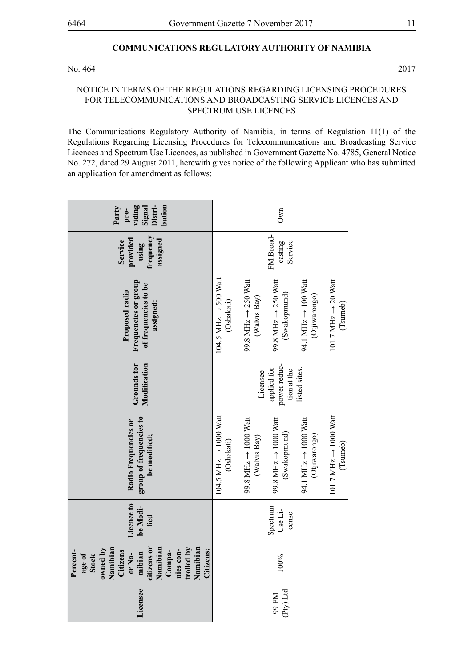#### **COMMUNICATIONS REGULATORY AUTHORITY OF NAMIBIA**

No. 464 2017

#### NOTICE IN TERMS OF THE REGULATIONS REGARDING LICENSING PROCEDURES FOR TELECOMMUNICATIONS AND BROADCASTING SERVICE LICENCES AND SPECTRUM USE LICENCES

The Communications Regulatory Authority of Namibia, in terms of Regulation 11(1) of the Regulations Regarding Licensing Procedures for Telecommunications and Broadcasting Service Licences and Spectrum Use Licences, as published in Government Gazette No. 4785, General Notice No. 272, dated 29 August 2011, herewith gives notice of the following Applicant who has submitted an application for amendment as follows:

| Signal<br>Distri-<br>bution<br>viding<br>Party<br>pro-                                                                                                                                                           | Own                                                                                                                                                                                                                                                               |
|------------------------------------------------------------------------------------------------------------------------------------------------------------------------------------------------------------------|-------------------------------------------------------------------------------------------------------------------------------------------------------------------------------------------------------------------------------------------------------------------|
| frequency<br>provided<br>assigned<br>Service<br>using                                                                                                                                                            | FM Broad-<br>Service<br>casting                                                                                                                                                                                                                                   |
| Frequencies or group<br>of frequencies to be<br>Proposed radio<br>assigned;                                                                                                                                      | $104.5$ MHz $\rightarrow$ 500 Watt<br>99.8 MHz $\rightarrow$ 250 Watt<br>94.1 MHz $\rightarrow$ 100 Watt<br>101.7 MHz $\rightarrow$ 20 Watt<br>99.8 MHz $\rightarrow$ 250 Watt<br>(Swakopmund)<br>(Otjiwarongo)<br>(Walvis Bay)<br>(Oshakati)<br>(Tsumeb)         |
| Modification<br>Grounds for                                                                                                                                                                                      | power reduc-<br>applied for<br>tion at the<br>listed sites.<br>Licensee                                                                                                                                                                                           |
| group of frequencies to<br>Radio Frequencies or<br>be modified;                                                                                                                                                  | $104.5$ MHz $\rightarrow$ 1000 Watt<br>$101.7$ MHz $\rightarrow$ 1000 Watt<br>99.8 MHz $\rightarrow$ 1000 Watt<br>99.8 MHz $\rightarrow$ 1000 Watt<br>94.1 MHz $\rightarrow$ 1000 Watt<br>(Swakopmund)<br>(Otjiwarongo)<br>(Walvis Bay)<br>(Oshakati)<br>(Tsumeb) |
| Licence to<br>be Modi-<br>fied                                                                                                                                                                                   | Spectrum<br>Use Li-<br>cense                                                                                                                                                                                                                                      |
| or Na-<br>mibian<br>citizens or<br>Namibian<br>Compa-<br>nies con-<br>trolled by<br>$\lambda$ q<br>Namibian<br>Citizens;<br>owned by<br>Namibian<br>Citizens<br>$\mathbf{L}$<br><b>Stock</b><br>Percen<br>age of | 100%                                                                                                                                                                                                                                                              |
| Licensee                                                                                                                                                                                                         | 99 FM<br>(Pty) Ltd                                                                                                                                                                                                                                                |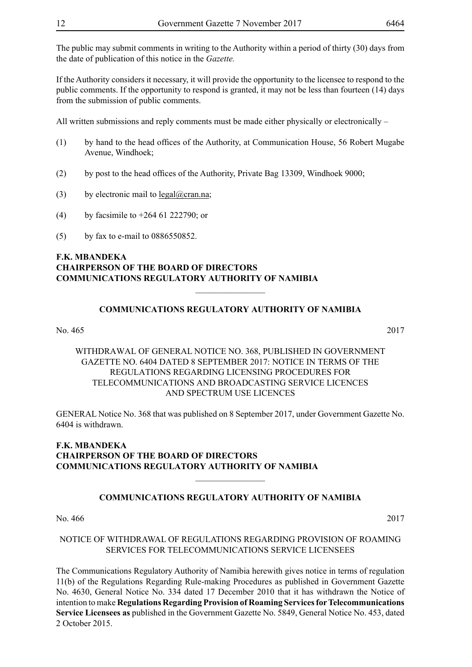The public may submit comments in writing to the Authority within a period of thirty (30) days from the date of publication of this notice in the *Gazette.* 

If the Authority considers it necessary, it will provide the opportunity to the licensee to respond to the public comments. If the opportunity to respond is granted, it may not be less than fourteen (14) days from the submission of public comments.

All written submissions and reply comments must be made either physically or electronically –

- (1) by hand to the head offices of the Authority, at Communication House, 56 Robert Mugabe Avenue, Windhoek;
- (2) by post to the head offices of the Authority, Private Bag 13309, Windhoek 9000;
- (3) by electronic mail to  $\text{legal}(\partial)$ cran.na;
- (4) by facsimile to +264 61 222790; or
- (5) by fax to e-mail to 0886550852.

#### **F.K. MBANDEKA CHAIRPERSON OF THE BOARD OF DIRECTORS COMMUNICATIONS REGULATORY AUTHORITY OF NAMIBIA**

#### **COMMUNICATIONS REGULATORY AUTHORITY OF NAMIBIA**

 $\frac{1}{2}$ 

No. 465 2017

WITHDRAWAL OF GENERAL NOTICE NO. 368, PUBLISHED IN GOVERNMENT GAZETTE NO. 6404 DATED 8 SEPTEMBER 2017: NOTICE IN TERMS OF THE REGULATIONS REGARDING LICENSING PROCEDURES FOR TELECOMMUNICATIONS AND BROADCASTING SERVICE LICENCES AND SPECTRUM USE LICENCES

GENERAL Notice No. 368 that was published on 8 September 2017, under Government Gazette No. 6404 is withdrawn.

#### **F.K. MBANDEKA CHAIRPERSON OF THE BOARD OF DIRECTORS COMMUNICATIONS REGULATORY AUTHORITY OF NAMIBIA**

#### **COMMUNICATIONS REGULATORY AUTHORITY OF NAMIBIA**

 $\overline{\phantom{a}}$  , where  $\overline{\phantom{a}}$ 

No. 466 2017

#### NOTICE OF WITHDRAWAL OF REGULATIONS REGARDING PROVISION OF ROAMING SERVICES FOR TELECOMMUNICATIONS SERVICE LICENSEES

The Communications Regulatory Authority of Namibia herewith gives notice in terms of regulation 11(b) of the Regulations Regarding Rule-making Procedures as published in Government Gazette No. 4630, General Notice No. 334 dated 17 December 2010 that it has withdrawn the Notice of intention to make **Regulations Regarding Provision of Roaming Services for Telecommunications Service Licensees as** published in the Government Gazette No. 5849, General Notice No. 453, dated 2 October 2015.